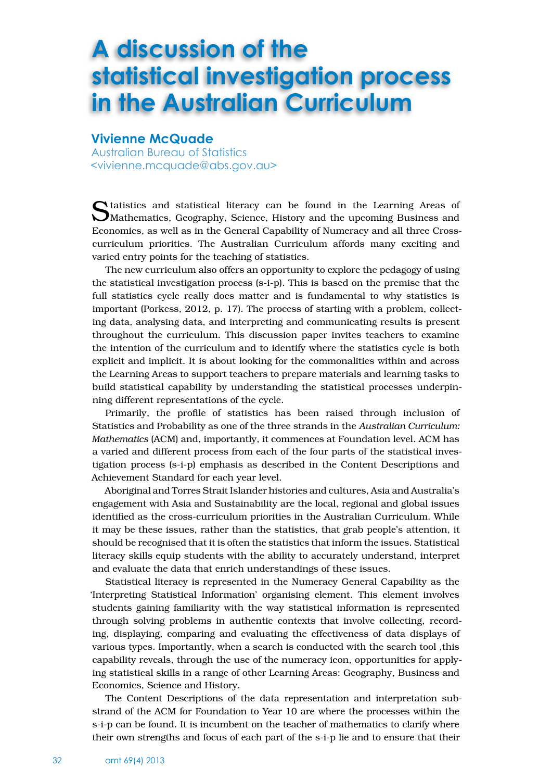## **A discussion of the statistical investigation process in the Australian Curriculum**

## **Vivienne McQuade**

Australian Bureau of Statistics <vivienne.mcquade@abs.gov.au>

Statistics and statistical literacy can be found in the Learning Areas of Mathematics, Geography, Science, History and the upcoming Business and Economics, as well as in the General Capability of Numeracy and all three Crosscurriculum priorities. The Australian Curriculum affords many exciting and varied entry points for the teaching of statistics.

The new curriculum also offers an opportunity to explore the pedagogy of using the statistical investigation process (s-i-p). This is based on the premise that the full statistics cycle really does matter and is fundamental to why statistics is important (Porkess, 2012, p. 17). The process of starting with a problem, collecting data, analysing data, and interpreting and communicating results is present throughout the curriculum. This discussion paper invites teachers to examine the intention of the curriculum and to identify where the statistics cycle is both explicit and implicit. It is about looking for the commonalities within and across the Learning Areas to support teachers to prepare materials and learning tasks to build statistical capability by understanding the statistical processes underpinning different representations of the cycle.

Primarily, the profile of statistics has been raised through inclusion of Statistics and Probability as one of the three strands in the *Australian Curriculum: Mathematics* (ACM) and, importantly, it commences at Foundation level. ACM has a varied and different process from each of the four parts of the statistical investigation process (s-i-p) emphasis as described in the Content Descriptions and Achievement Standard for each year level.

Aboriginal and Torres Strait Islander histories and cultures, Asia and Australia's engagement with Asia and Sustainability are the local, regional and global issues identified as the cross-curriculum priorities in the Australian Curriculum. While it may be these issues, rather than the statistics, that grab people's attention, it should be recognised that it is often the statistics that inform the issues. Statistical literacy skills equip students with the ability to accurately understand, interpret and evaluate the data that enrich understandings of these issues.

Statistical literacy is represented in the Numeracy General Capability as the 'Interpreting Statistical Information' organising element. This element involves students gaining familiarity with the way statistical information is represented through solving problems in authentic contexts that involve collecting, recording, displaying, comparing and evaluating the effectiveness of data displays of various types. Importantly, when a search is conducted with the search tool ,this capability reveals, through the use of the numeracy icon, opportunities for applying statistical skills in a range of other Learning Areas: Geography, Business and Economics, Science and History.

The Content Descriptions of the data representation and interpretation substrand of the ACM for Foundation to Year 10 are where the processes within the s-i-p can be found. It is incumbent on the teacher of mathematics to clarify where their own strengths and focus of each part of the s-i-p lie and to ensure that their